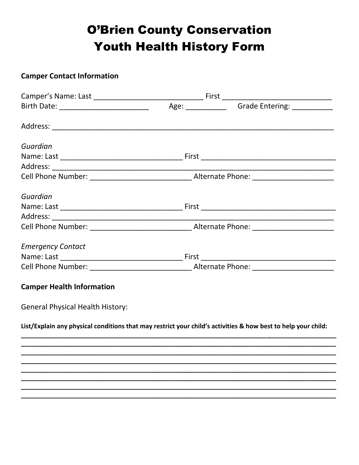## **O'Brien County Conservation Youth Health History Form**

## **Camper Contact Information**

| Guardian                                                                                                      |  |  |
|---------------------------------------------------------------------------------------------------------------|--|--|
|                                                                                                               |  |  |
|                                                                                                               |  |  |
|                                                                                                               |  |  |
| Guardian                                                                                                      |  |  |
|                                                                                                               |  |  |
|                                                                                                               |  |  |
|                                                                                                               |  |  |
| <b>Emergency Contact</b>                                                                                      |  |  |
|                                                                                                               |  |  |
|                                                                                                               |  |  |
| <b>Camper Health Information</b>                                                                              |  |  |
| <b>General Physical Health History:</b>                                                                       |  |  |
| List/Explain any physical conditions that may restrict your child's activities & how best to help your child: |  |  |